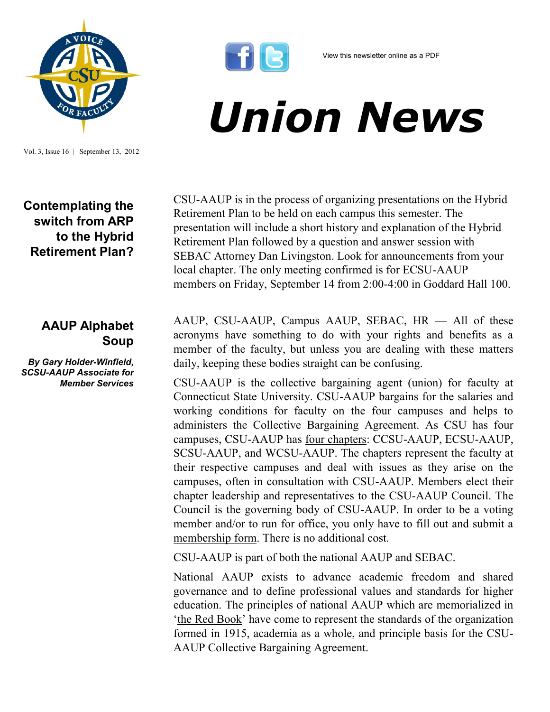

Vol. 3, Issue 16 | September 13, 2012

## **Contemplating the switch from ARP to the Hybrid Retirement Plan?**

## **AAUP Alphabet Soup**

*By Gary Holder-Winfield, SCSU-AAUP Associate for Member Services*



View this newsletter online as a PDF

## *Union News*

CSU-AAUP is in the process of organizing presentations on the Hybrid Retirement Plan to be held on each campus this semester. The presentation will include a short history and explanation of the Hybrid Retirement Plan followed by a question and answer session with SEBAC Attorney Dan Livingston. Look for announcements from your local chapter. The only meeting confirmed is for ECSU-AAUP members on Friday, September 14 from 2:00-4:00 in Goddard Hall 100.

AAUP, CSU-AAUP, Campus AAUP, SEBAC, HR — All of these acronyms have something to do with your rights and benefits as a member of the faculty, but unless you are dealing with these matters daily, keeping these bodies straight can be confusing.

[CSU-AAUP](http://www.csuaaup.org) is the collective bargaining agent (union) for faculty at Connecticut State University. CSU-AAUP bargains for the salaries and working conditions for faculty on the four campuses and helps to administers the Collective Bargaining Agreement. As CSU has four campuses, CSU-AAUP has [four chapters:](http://www.csuaaup.org/?page_id=175) CCSU-AAUP, ECSU-AAUP, SCSU-AAUP, and WCSU-AAUP. The chapters represent the faculty at their respective campuses and deal with issues as they arise on the campuses, often in consultation with CSU-AAUP. Members elect their chapter leadership and representatives to the CSU-AAUP Council. The Council is the governing body of CSU-AAUP. In order to be a voting member and/or to run for office, you only have to fill out and submit a [membership form.](http://www.csuaaup.org/?page_id=44) There is no additional cost.

CSU-AAUP is part of both the national AAUP and SEBAC.

National AAUP exists to advance academic freedom and shared governance and to define professional values and standards for higher education. The principles of national AAUP which are memorialized in '[the Red Book](http://www.aaup.org/AAUP/pubsres/policydocs/)' have come to represent the standards of the organization formed in 1915, academia as a whole, and principle basis for the CSU-AAUP Collective Bargaining Agreement.